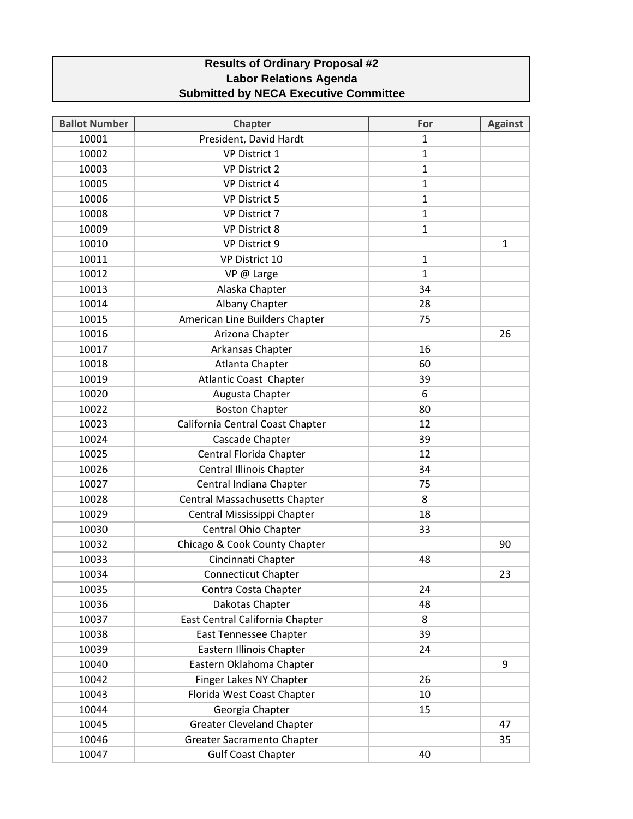## **Results of Ordinary Proposal #2 Labor Relations Agenda Submitted by NECA Executive Committee**

| <b>Ballot Number</b> | <b>Chapter</b>                       | For          | <b>Against</b> |
|----------------------|--------------------------------------|--------------|----------------|
| 10001                | President, David Hardt               | $\mathbf{1}$ |                |
| 10002                | <b>VP District 1</b>                 | $\mathbf{1}$ |                |
| 10003                | <b>VP District 2</b>                 | $\mathbf{1}$ |                |
| 10005                | <b>VP District 4</b>                 | $\mathbf{1}$ |                |
| 10006                | <b>VP District 5</b>                 | $\mathbf{1}$ |                |
| 10008                | VP District 7                        | $\mathbf{1}$ |                |
| 10009                | <b>VP District 8</b>                 | $\mathbf 1$  |                |
| 10010                | VP District 9                        |              | $\mathbf{1}$   |
| 10011                | VP District 10                       | $\mathbf{1}$ |                |
| 10012                | VP @ Large                           | $\mathbf{1}$ |                |
| 10013                | Alaska Chapter                       | 34           |                |
| 10014                | Albany Chapter                       | 28           |                |
| 10015                | American Line Builders Chapter       | 75           |                |
| 10016                | Arizona Chapter                      |              | 26             |
| 10017                | Arkansas Chapter                     | 16           |                |
| 10018                | Atlanta Chapter                      | 60           |                |
| 10019                | <b>Atlantic Coast Chapter</b>        | 39           |                |
| 10020                | Augusta Chapter                      | 6            |                |
| 10022                | <b>Boston Chapter</b>                | 80           |                |
| 10023                | California Central Coast Chapter     | 12           |                |
| 10024                | Cascade Chapter                      | 39           |                |
| 10025                | Central Florida Chapter              | 12           |                |
| 10026                | Central Illinois Chapter             | 34           |                |
| 10027                | Central Indiana Chapter              | 75           |                |
| 10028                | <b>Central Massachusetts Chapter</b> | 8            |                |
| 10029                | Central Mississippi Chapter          | 18           |                |
| 10030                | Central Ohio Chapter                 | 33           |                |
| 10032                | Chicago & Cook County Chapter        |              | 90             |
| 10033                | Cincinnati Chapter                   | 48           |                |
| 10034                | <b>Connecticut Chapter</b>           |              | 23             |
| 10035                | Contra Costa Chapter                 | 24           |                |
| 10036                | Dakotas Chapter                      | 48           |                |
| 10037                | East Central California Chapter      | 8            |                |
| 10038                | <b>East Tennessee Chapter</b>        | 39           |                |
| 10039                | Eastern Illinois Chapter             | 24           |                |
| 10040                | Eastern Oklahoma Chapter             |              | 9              |
| 10042                | Finger Lakes NY Chapter              | 26           |                |
| 10043                | Florida West Coast Chapter           | 10           |                |
| 10044                | Georgia Chapter                      | 15           |                |
| 10045                | <b>Greater Cleveland Chapter</b>     |              | 47             |
| 10046                | <b>Greater Sacramento Chapter</b>    |              | 35             |
| 10047                | <b>Gulf Coast Chapter</b>            | 40           |                |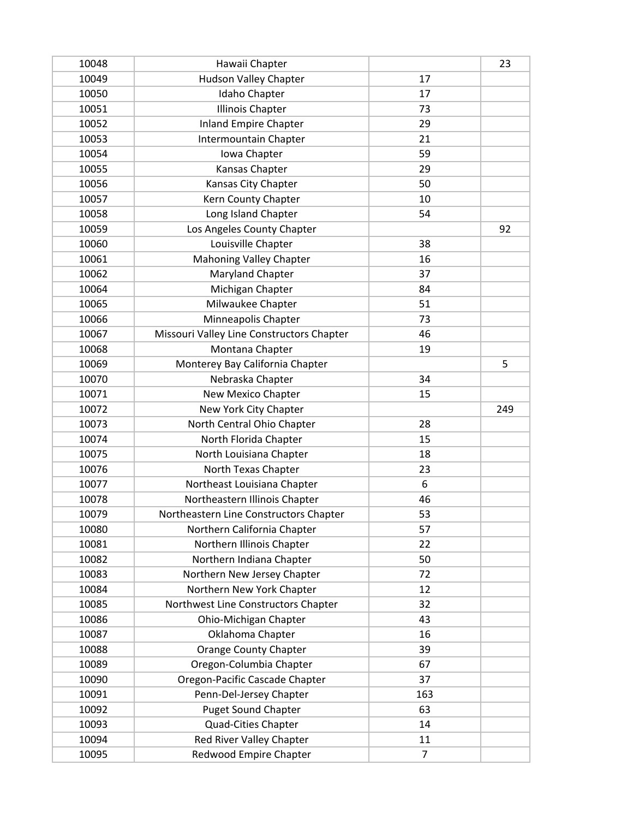| 10048 | Hawaii Chapter                            |                | 23  |
|-------|-------------------------------------------|----------------|-----|
| 10049 | <b>Hudson Valley Chapter</b>              | 17             |     |
| 10050 | Idaho Chapter                             | 17             |     |
| 10051 | <b>Illinois Chapter</b>                   | 73             |     |
| 10052 | <b>Inland Empire Chapter</b>              | 29             |     |
| 10053 | Intermountain Chapter                     | 21             |     |
| 10054 | Iowa Chapter                              | 59             |     |
| 10055 | Kansas Chapter                            | 29             |     |
| 10056 | Kansas City Chapter                       | 50             |     |
| 10057 | Kern County Chapter                       | 10             |     |
| 10058 | Long Island Chapter                       | 54             |     |
| 10059 | Los Angeles County Chapter                |                | 92  |
| 10060 | Louisville Chapter                        | 38             |     |
| 10061 | <b>Mahoning Valley Chapter</b>            | 16             |     |
| 10062 | Maryland Chapter                          | 37             |     |
| 10064 | Michigan Chapter                          | 84             |     |
| 10065 | Milwaukee Chapter                         | 51             |     |
| 10066 | Minneapolis Chapter                       | 73             |     |
| 10067 | Missouri Valley Line Constructors Chapter | 46             |     |
| 10068 | Montana Chapter                           | 19             |     |
| 10069 | Monterey Bay California Chapter           |                | 5   |
| 10070 | Nebraska Chapter                          | 34             |     |
| 10071 | New Mexico Chapter                        | 15             |     |
| 10072 | New York City Chapter                     |                | 249 |
| 10073 | North Central Ohio Chapter                | 28             |     |
| 10074 | North Florida Chapter                     | 15             |     |
| 10075 | North Louisiana Chapter                   | 18             |     |
| 10076 | North Texas Chapter                       | 23             |     |
| 10077 | Northeast Louisiana Chapter               | 6              |     |
| 10078 | Northeastern Illinois Chapter             | 46             |     |
| 10079 | Northeastern Line Constructors Chapter    | 53             |     |
| 10080 | Northern California Chapter               | 57             |     |
| 10081 | Northern Illinois Chapter                 | 22             |     |
| 10082 | Northern Indiana Chapter                  | 50             |     |
| 10083 | Northern New Jersey Chapter               | 72             |     |
| 10084 | Northern New York Chapter                 | 12             |     |
| 10085 | Northwest Line Constructors Chapter       | 32             |     |
| 10086 | Ohio-Michigan Chapter                     | 43             |     |
| 10087 | Oklahoma Chapter                          | 16             |     |
| 10088 | <b>Orange County Chapter</b>              | 39             |     |
| 10089 | Oregon-Columbia Chapter                   | 67             |     |
| 10090 | Oregon-Pacific Cascade Chapter            | 37             |     |
| 10091 | Penn-Del-Jersey Chapter                   | 163            |     |
| 10092 | <b>Puget Sound Chapter</b>                | 63             |     |
| 10093 | Quad-Cities Chapter                       | 14             |     |
| 10094 | Red River Valley Chapter                  | 11             |     |
| 10095 | Redwood Empire Chapter                    | $\overline{7}$ |     |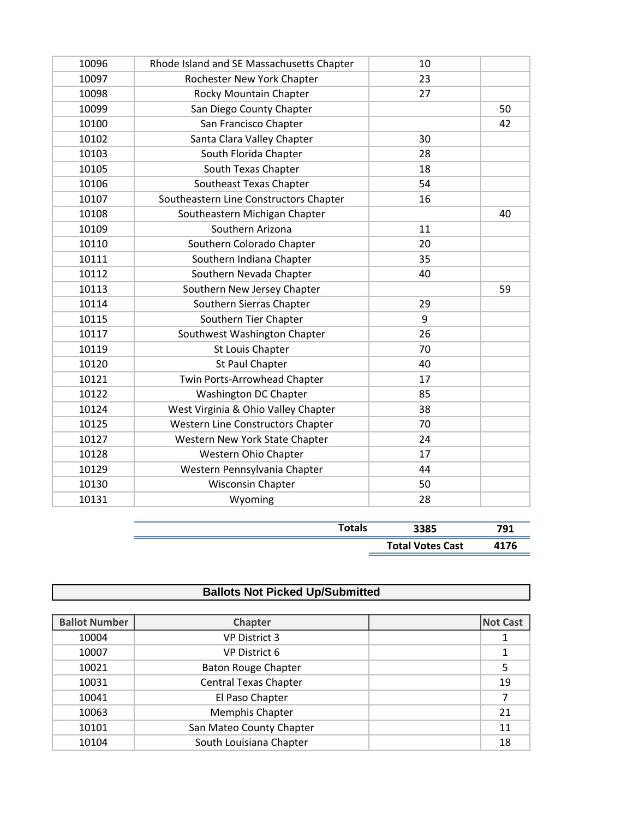| 10096 | Rhode Island and SE Massachusetts Chapter | 10 |    |
|-------|-------------------------------------------|----|----|
| 10097 | Rochester New York Chapter                | 23 |    |
| 10098 | Rocky Mountain Chapter                    | 27 |    |
| 10099 | San Diego County Chapter                  |    | 50 |
| 10100 | San Francisco Chapter                     |    | 42 |
| 10102 | Santa Clara Valley Chapter                | 30 |    |
| 10103 | South Florida Chapter                     | 28 |    |
| 10105 | South Texas Chapter                       | 18 |    |
| 10106 | Southeast Texas Chapter                   | 54 |    |
| 10107 | Southeastern Line Constructors Chapter    | 16 |    |
| 10108 | Southeastern Michigan Chapter             |    | 40 |
| 10109 | Southern Arizona                          | 11 |    |
| 10110 | Southern Colorado Chapter                 | 20 |    |
| 10111 | Southern Indiana Chapter                  | 35 |    |
| 10112 | Southern Nevada Chapter                   | 40 |    |
| 10113 | Southern New Jersey Chapter               |    | 59 |
| 10114 | Southern Sierras Chapter                  | 29 |    |
| 10115 | Southern Tier Chapter                     | 9  |    |
| 10117 | Southwest Washington Chapter              | 26 |    |
| 10119 | St Louis Chapter                          | 70 |    |
| 10120 | St Paul Chapter                           | 40 |    |
| 10121 | Twin Ports-Arrowhead Chapter              | 17 |    |
| 10122 | Washington DC Chapter                     | 85 |    |
| 10124 | West Virginia & Ohio Valley Chapter       | 38 |    |
| 10125 | Western Line Constructors Chapter         | 70 |    |
| 10127 | Western New York State Chapter            | 24 |    |
| 10128 | Western Ohio Chapter                      | 17 |    |
| 10129 | Western Pennsylvania Chapter              | 44 |    |
| 10130 | <b>Wisconsin Chapter</b>                  | 50 |    |
| 10131 | Wyoming                                   | 28 |    |

| <b>otals</b> | 3385                    |               |
|--------------|-------------------------|---------------|
|              | <b>Total Votes Cast</b> | 11 7 <i>c</i> |

| <b>Ballots Not Picked Up/Submitted</b> |                              |  |                 |
|----------------------------------------|------------------------------|--|-----------------|
|                                        |                              |  |                 |
| <b>Ballot Number</b>                   | Chapter                      |  | <b>Not Cast</b> |
| 10004                                  | <b>VP District 3</b>         |  |                 |
| 10007                                  | <b>VP District 6</b>         |  |                 |
| 10021                                  | <b>Baton Rouge Chapter</b>   |  | 5               |
| 10031                                  | <b>Central Texas Chapter</b> |  | 19              |
| 10041                                  | El Paso Chapter              |  |                 |
| 10063                                  | Memphis Chapter              |  | 21              |
| 10101                                  | San Mateo County Chapter     |  | 11              |
| 10104                                  | South Louisiana Chapter      |  | 18              |